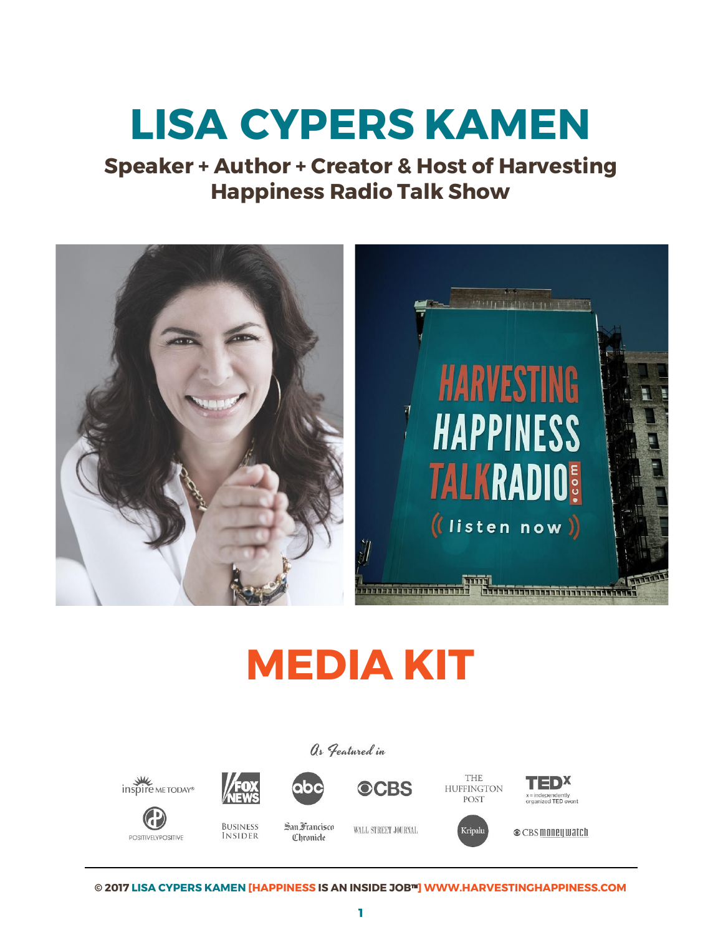# **LISA CYPERS KAMEN**

**Speaker + Author + Creator & Host of Harvesting Happiness Radio Talk Show** 



# **MEDIA KIT**

## As Featured in





**BUSINESS** 

**INSIDER** 











San Francisco **Chronicle** 

WALL STREET JOURNAL





**©** CBS money watch

**© 2017 LISA CYPERS KAMEN [HAPPINESS IS AN INSIDE JOB**™**] WWW.HARVESTINGHAPPINESS.COM**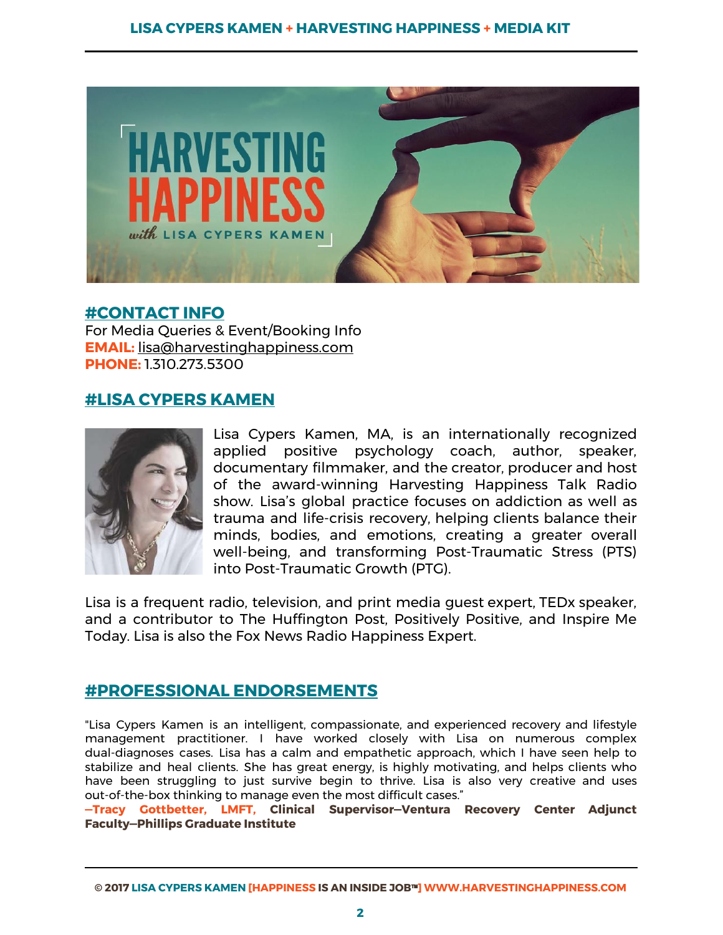

## **#CONTACT INFO**

For Media Queries & Event/Booking Info **EMAIL:** [lisa@harvestinghappiness.com](mailto:lisa@harvestinghappiness.com) **PHONE:** 1.310.273.5300

# **#LISA CYPERS KAMEN**



Lisa Cypers Kamen, MA, is an internationally recognized applied positive psychology coach, author, speaker, documentary filmmaker, and the creator, producer and host of the award-winning Harvesting Happiness Talk Radio show. Lisa's global practice focuses on addiction as well as trauma and life-crisis recovery, helping clients balance their minds, bodies, and emotions, creating a greater overall well-being, and transforming Post-Traumatic Stress (PTS) into Post-Traumatic Growth (PTG).

Lisa is a frequent radio, television, and print media guest expert, TEDx speaker, and a contributor to The Huffington Post, Positively Positive, and Inspire Me Today. Lisa is also the Fox News Radio Happiness Expert.

# **#PROFESSIONAL ENDORSEMENTS**

"Lisa Cypers Kamen is an intelligent, compassionate, and experienced recovery and lifestyle management practitioner. I have worked closely with Lisa on numerous complex dual-diagnoses cases. Lisa has a calm and empathetic approach, which I have seen help to stabilize and heal clients. She has great energy, is highly motivating, and helps clients who have been struggling to just survive begin to thrive. Lisa is also very creative and uses out-of-the-box thinking to manage even the most difficult cases."

**—Tracy Gottbetter, LMFT, Clinical Supervisor—Ventura Recovery Center Adjunct Faculty—Phillips Graduate Institute** 

**<sup>©</sup> 2017 LISA CYPERS KAMEN [HAPPINESS IS AN INSIDE JOB**™**] WWW.HARVESTINGHAPPINESS.COM**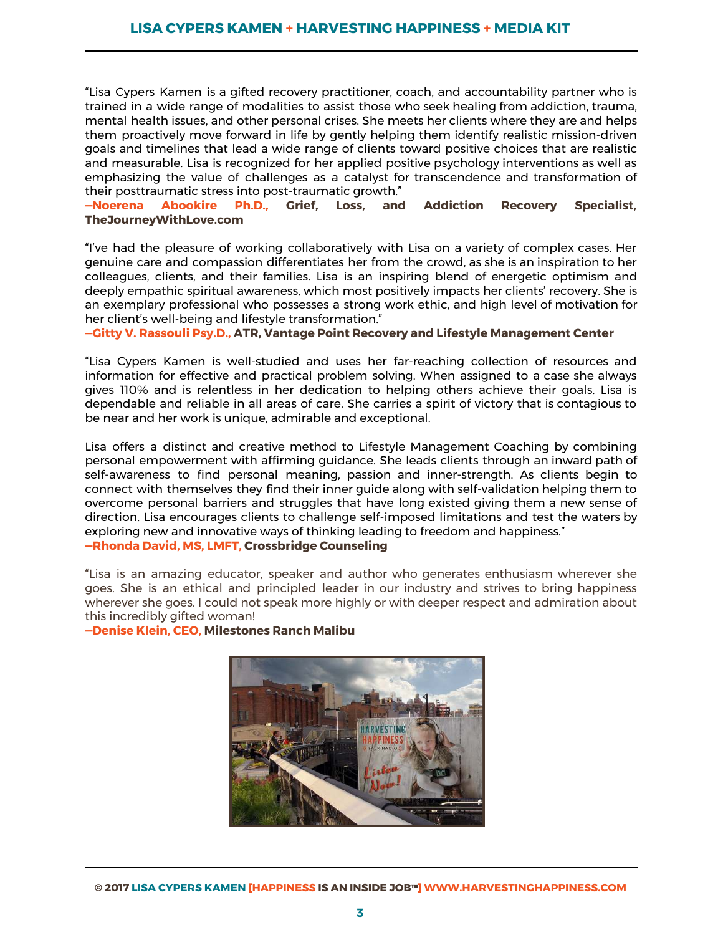"Lisa Cypers Kamen is a gifted recovery practitioner, coach, and accountability partner who is trained in a wide range of modalities to assist those who seek healing from addiction, trauma, mental health issues, and other personal crises. She meets her clients where they are and helps them proactively move forward in life by gently helping them identify realistic mission-driven goals and timelines that lead a wide range of clients toward positive choices that are realistic and measurable. Lisa is recognized for her applied positive psychology interventions as well as emphasizing the value of challenges as a catalyst for transcendence and transformation of their posttraumatic stress into post-traumatic growth."

#### **—Noerena Abookire Ph.D., Grief, Loss, and Addiction Recovery Specialist, TheJourneyWithLove.com**

"I've had the pleasure of working collaboratively with Lisa on a variety of complex cases. Her genuine care and compassion differentiates her from the crowd, as she is an inspiration to her colleagues, clients, and their families. Lisa is an inspiring blend of energetic optimism and deeply empathic spiritual awareness, which most positively impacts her clients' recovery. She is an exemplary professional who possesses a strong work ethic, and high level of motivation for her client's well-being and lifestyle transformation."

**—Gitty V. Rassouli Psy.D., ATR, Vantage Point Recovery and Lifestyle Management Center** 

"Lisa Cypers Kamen is well-studied and uses her far-reaching collection of resources and information for effective and practical problem solving. When assigned to a case she always gives 110% and is relentless in her dedication to helping others achieve their goals. Lisa is dependable and reliable in all areas of care. She carries a spirit of victory that is contagious to be near and her work is unique, admirable and exceptional.

Lisa offers a distinct and creative method to Lifestyle Management Coaching by combining personal empowerment with affirming guidance. She leads clients through an inward path of self-awareness to find personal meaning, passion and inner-strength. As clients begin to connect with themselves they find their inner guide along with self-validation helping them to overcome personal barriers and struggles that have long existed giving them a new sense of direction. Lisa encourages clients to challenge self-imposed limitations and test the waters by exploring new and innovative ways of thinking leading to freedom and happiness." **—Rhonda David, MS, LMFT, Crossbridge Counseling** 

"Lisa is an amazing educator, speaker and author who generates enthusiasm wherever she goes. She is an ethical and principled leader in our industry and strives to bring happiness wherever she goes. I could not speak more highly or with deeper respect and admiration about

this incredibly gifted woman!

**—Denise Klein, CEO, Milestones Ranch Malibu** 

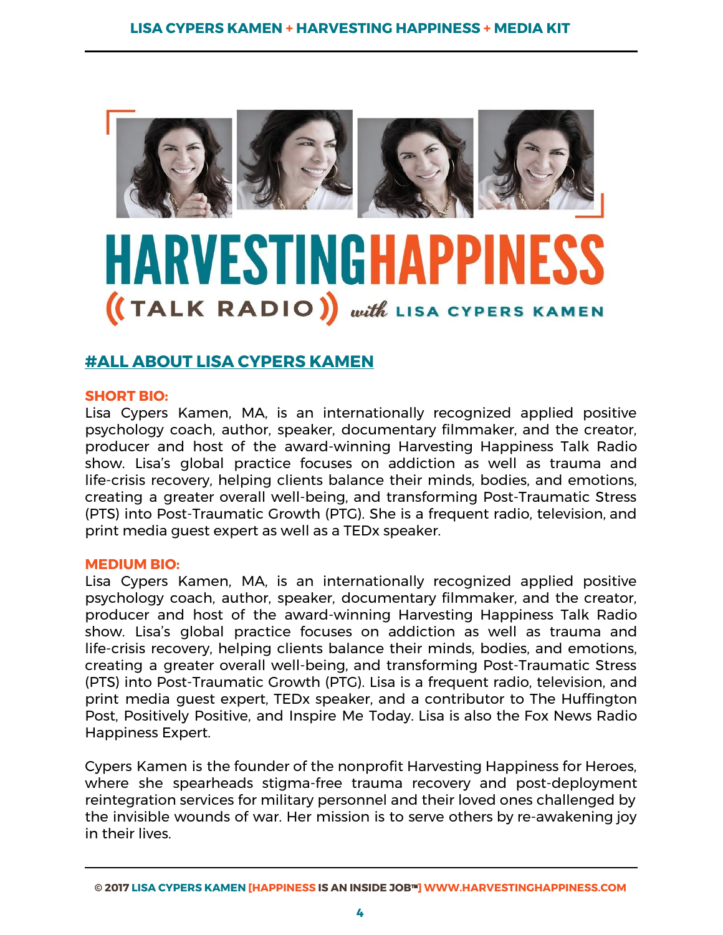

# HARVESTINGHAPP (TALK RADIO) with LISA CYPERS KAMEN

# **#ALL ABOUT LISA CYPERS KAMEN**

#### **SHORT BIO:**

Lisa Cypers Kamen, MA, is an internationally recognized applied positive psychology coach, author, speaker, documentary filmmaker, and the creator, producer and host of the award-winning Harvesting Happiness Talk Radio show. Lisa's global practice focuses on addiction as well as trauma and life-crisis recovery, helping clients balance their minds, bodies, and emotions, creating a greater overall well-being, and transforming Post-Traumatic Stress (PTS) into Post-Traumatic Growth (PTG). She is a frequent radio, television, and print media guest expert as well as a TEDx speaker.

#### **MEDIUM BIO:**

Lisa Cypers Kamen, MA, is an internationally recognized applied positive psychology coach, author, speaker, documentary filmmaker, and the creator, producer and host of the award-winning Harvesting Happiness Talk Radio show. Lisa's global practice focuses on addiction as well as trauma and life-crisis recovery, helping clients balance their minds, bodies, and emotions, creating a greater overall well-being, and transforming Post-Traumatic Stress (PTS) into Post-Traumatic Growth (PTG). Lisa is a frequent radio, television, and print media guest expert, TEDx speaker, and a contributor to The Huffington Post, Positively Positive, and Inspire Me Today. Lisa is also the Fox News Radio Happiness Expert.

Cypers Kamen is the founder of the nonprofit Harvesting Happiness for Heroes, where she spearheads stigma-free trauma recovery and post-deployment reintegration services for military personnel and their loved ones challenged by the invisible wounds of war. Her mission is to serve others by re-awakening joy in their lives.

**<sup>©</sup> 2017 LISA CYPERS KAMEN [HAPPINESS IS AN INSIDE JOB**™**] WWW.HARVESTINGHAPPINESS.COM**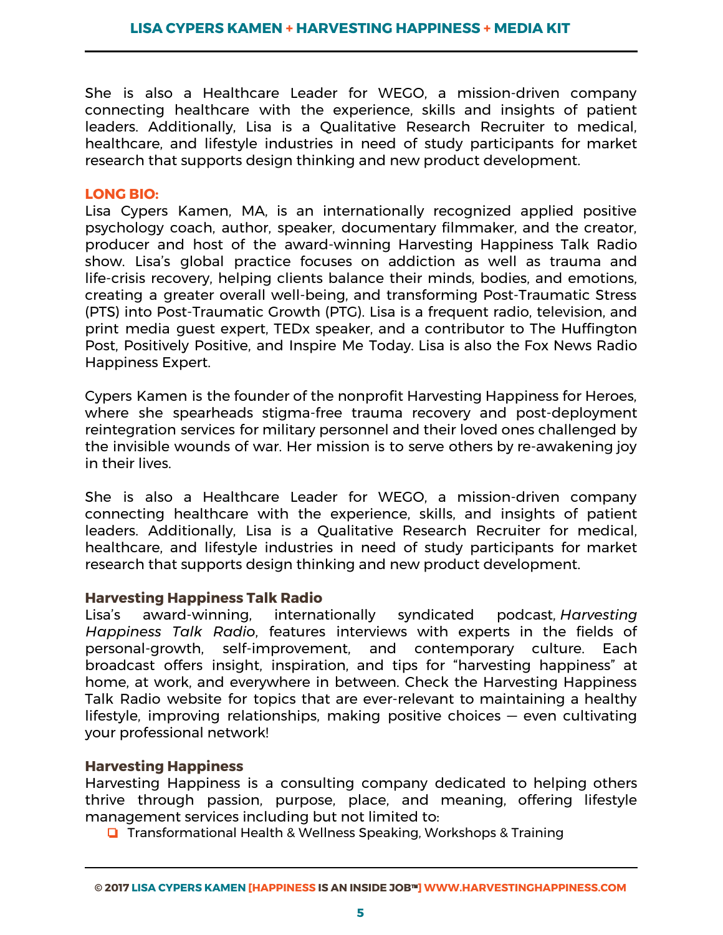She is also a Healthcare Leader for WEGO, a mission-driven company connecting healthcare with the experience, skills and insights of patient leaders. Additionally, Lisa is a Qualitative Research Recruiter to medical, healthcare, and lifestyle industries in need of study participants for market research that supports design thinking and new product development.

#### **LONG BIO:**

Lisa Cypers Kamen, MA, is an internationally recognized applied positive psychology coach, author, speaker, documentary filmmaker, and the creator, producer and host of the award-winning Harvesting Happiness Talk Radio show. Lisa's global practice focuses on addiction as well as trauma and life-crisis recovery, helping clients balance their minds, bodies, and emotions, creating a greater overall well-being, and transforming Post-Traumatic Stress (PTS) into Post-Traumatic Growth (PTG). Lisa is a frequent radio, television, and print media guest expert, TEDx speaker, and a contributor to The Huffington Post, Positively Positive, and Inspire Me Today. Lisa is also the Fox News Radio Happiness Expert.

Cypers Kamen is the founder of the nonprofit Harvesting Happiness for Heroes, where she spearheads stigma-free trauma recovery and post-deployment reintegration services for military personnel and their loved ones challenged by the invisible wounds of war. Her mission is to serve others by re-awakening joy in their lives.

She is also a Healthcare Leader for WEGO, a mission-driven company connecting healthcare with the experience, skills, and insights of patient leaders. Additionally, Lisa is a Qualitative Research Recruiter for medical, healthcare, and lifestyle industries in need of study participants for market research that supports design thinking and new product development.

**Harvesting Happiness Talk Radio**  Lisa's award-winning, internationally syndicated podcast, *Harvesting Happiness Talk Radio*, features interviews with experts in the fields of personal-growth, self-improvement, and contemporary culture. Each broadcast offers insight, inspiration, and tips for "harvesting happiness" at home, at work, and everywhere in between. Check the Harvesting Happiness Talk Radio website for topics that are ever-relevant to maintaining a healthy lifestyle, improving relationships, making positive choices — even cultivating your professional network!

#### **Harvesting Happiness**

Harvesting Happiness is a consulting company dedicated to helping others thrive through passion, purpose, place, and meaning, offering lifestyle management services including but not limited to:

❏ Transformational Health & Wellness Speaking, Workshops & Training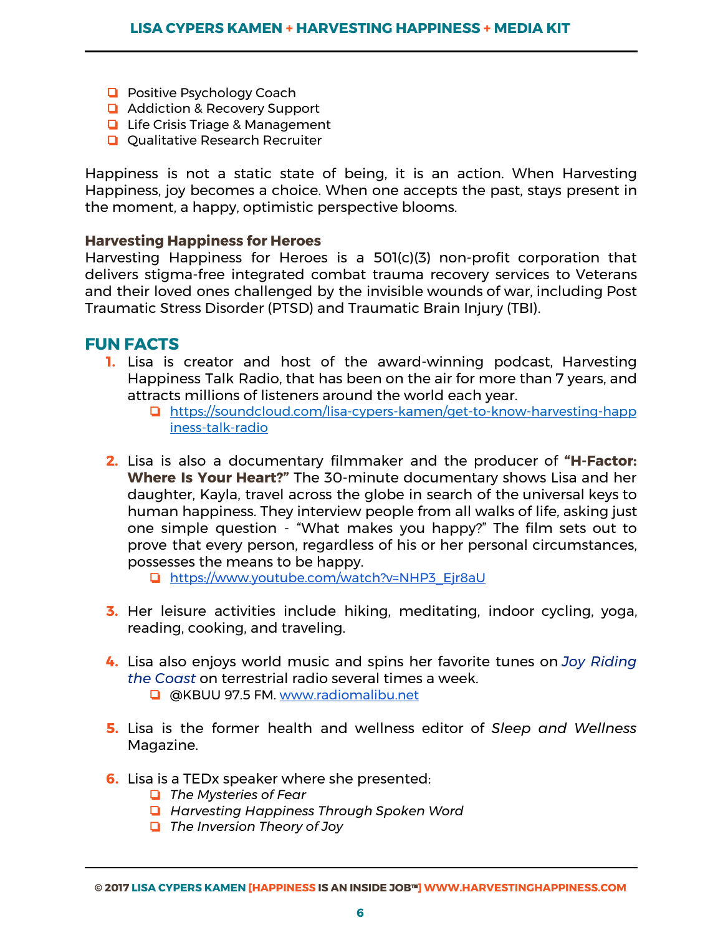- ❏ Positive Psychology Coach
- ❏ Addiction & Recovery Support
- ❏ Life Crisis Triage & Management
- ❏ Qualitative Research Recruiter

Happiness is not a static state of being, it is an action. When Harvesting Happiness, joy becomes a choice. When one accepts the past, stays present in the moment, a happy, optimistic perspective blooms.

#### **Harvesting Happiness for Heroes**

Harvesting Happiness for Heroes is a 501(c)(3) non-profit corporation that delivers stigma-free integrated combat trauma recovery services to Veterans and their loved ones challenged by the invisible wounds of war, including Post Traumatic Stress Disorder (PTSD) and Traumatic Brain Injury (TBI).

#### **FUN FACTS**

- **1.** Lisa is creator and host of the award-winning podcast, Harvesting Happiness Talk Radio, that has been on the air for more than 7 years, and attracts millions of listeners around the world each year.
	- ❏ [https://soundcloud.com/lisa-cypers-kamen/get-to-know-harvesting-happ](https://soundcloud.com/lisa-cypers-kamen/get-to-know-harvesting-happiness-talk-radio) [iness-talk-radio](https://soundcloud.com/lisa-cypers-kamen/get-to-know-harvesting-happiness-talk-radio)
- **2.** Lisa is also a documentary filmmaker and the producer of **"H-Factor: Where Is Your Heart?"** The 30-minute documentary shows Lisa and her daughter, Kayla, travel across the globe in search of the universal keys to human happiness. They interview people from all walks of life, asking just one simple question - "What makes you happy?" The film sets out to prove that every person, regardless of his or her personal circumstances, possesses the means to be happy.

❏ [https://www.youtube.com/watch?v=NHP3\\_Ejr8aU](https://www.youtube.com/watch?v=NHP3_Ejr8aU)

- **3.** Her leisure activities include hiking, meditating, indoor cycling, yoga, reading, cooking, and traveling.
- **4.** Lisa also enjoys world music and spins her favorite tunes on *Joy Riding the Coast* on terrestrial radio several times a week.
	- ❏ @KBUU 97.5 FM. [www.radiomalibu.net](http://www.radiomalibu.net/)
- **5.** Lisa is the former health and wellness editor of *Sleep and Wellness*  Magazine.
- **6.** Lisa is a TEDx speaker where she presented:
	- ❏ *The Mysteries of Fear*
	- ❏ *Harvesting Happiness Through Spoken Word*
	- ❏ *The Inversion Theory of Joy*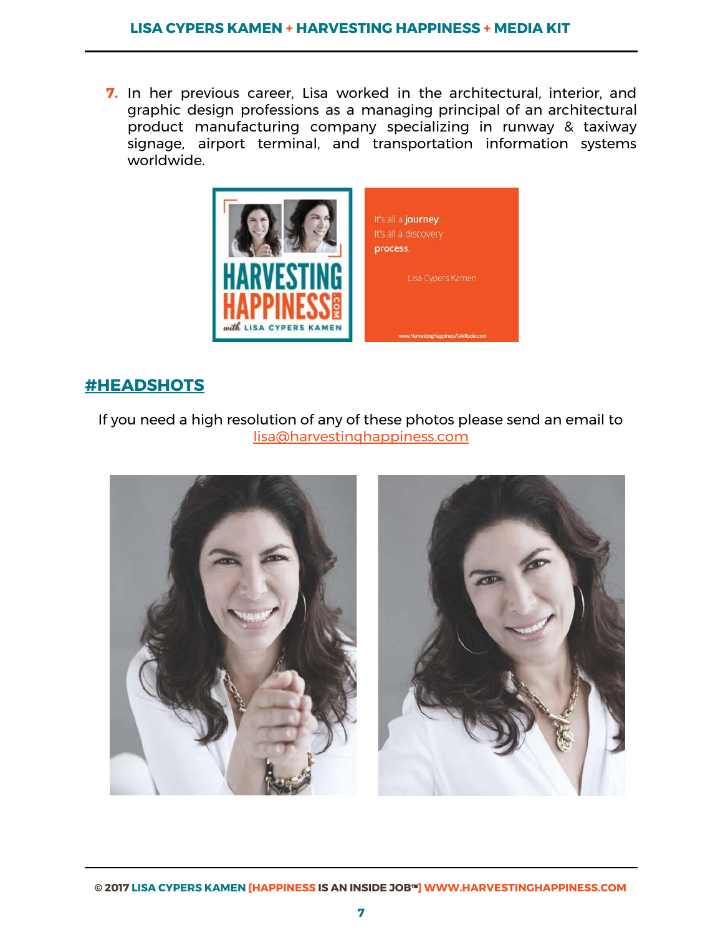**7.** In her previous career, Lisa worked in the architectural, interior, and graphic design professions as a managing principal of an architectural product manufacturing company specializing in runway & taxiway signage, airport terminal, and transportation information systems worldwide.



# **#HEADSHOTS**

## If you need a high resolution of any of these photos please send an email to [lisa@harvestinghappiness.com](mailto:lisa@harvestinghappiness.com)

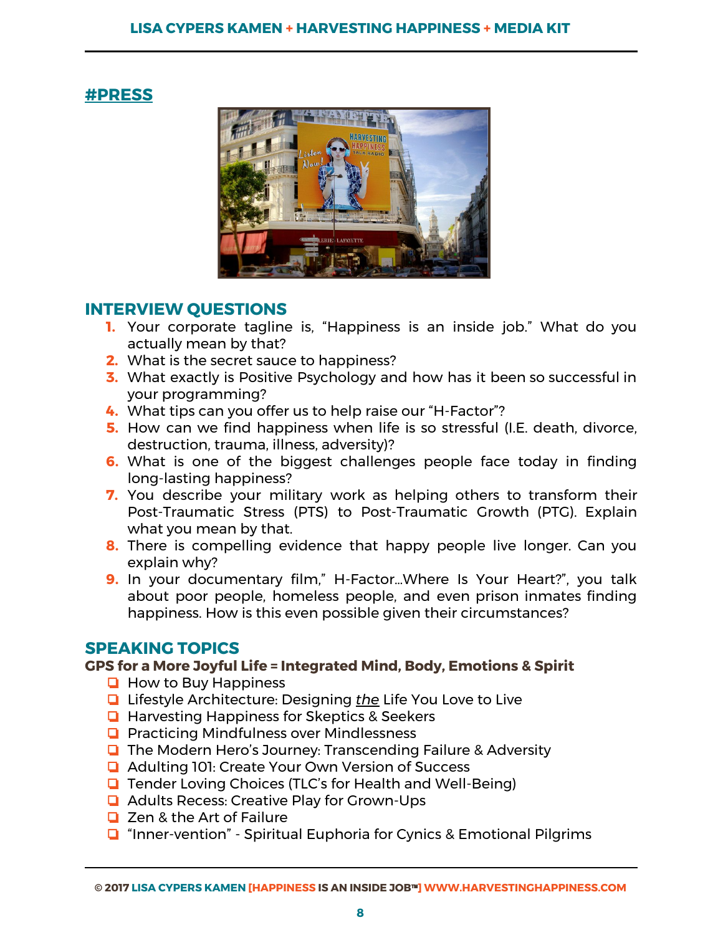# **#PRESS**



# **INTERVIEW QUESTIONS**

- **1.** Your corporate tagline is, "Happiness is an inside job." What do you actually mean by that?
- **2.** What is the secret sauce to happiness?
- **3.** What exactly is Positive Psychology and how has it been so successful in your programming?
- **4.** What tips can you offer us to help raise our "H-Factor"?
- **5.** How can we find happiness when life is so stressful (I.E. death, divorce, destruction, trauma, illness, adversity)?
- **6.** What is one of the biggest challenges people face today in finding long-lasting happiness?
- **7.** You describe your military work as helping others to transform their Post-Traumatic Stress (PTS) to Post-Traumatic Growth (PTG). Explain what you mean by that.
- **8.** There is compelling evidence that happy people live longer. Can you explain why?
- **9.** In your documentary film," H-Factor…Where Is Your Heart?", you talk about poor people, homeless people, and even prison inmates finding happiness. How is this even possible given their circumstances?

# **SPEAKING TOPICS**

## **GPS for a More Joyful Life = Integrated Mind, Body, Emotions & Spirit**

- ❏ How to Buy Happiness
- ❏ Lifestyle Architecture: Designing *the* Life You Love to Live
- ❏ Harvesting Happiness for Skeptics & Seekers
- ❏ Practicing Mindfulness over Mindlessness
- ❏ The Modern Hero's Journey: Transcending Failure & Adversity
- ❏ Adulting 101: Create Your Own Version of Success
- ❏ Tender Loving Choices (TLC's for Health and Well-Being)
- ❏ Adults Recess: Creative Play for Grown-Ups
- ❏ Zen & the Art of Failure
- ❏ "Inner-vention" Spiritual Euphoria for Cynics & Emotional Pilgrims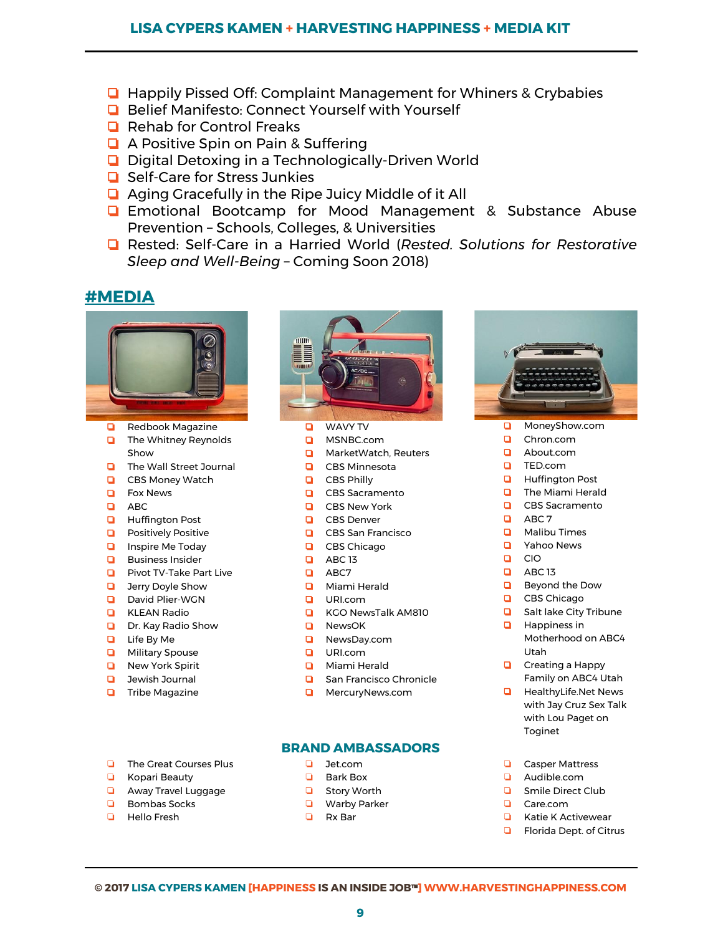#### **LISA CYPERS KAMEN + HARVESTING HAPPINESS + MEDIA KIT**

- ❏ Happily Pissed Off: Complaint Management for Whiners & Crybabies
- ❏ Belief Manifesto: Connect Yourself with Yourself
- ❏ Rehab for Control Freaks
- ❏ A Positive Spin on Pain & Suffering
- ❏ Digital Detoxing in a Technologically-Driven World
- ❏ Self-Care for Stress Junkies
- ❏ Aging Gracefully in the Ripe Juicy Middle of it All
- ❏ Emotional Bootcamp for Mood Management & Substance Abuse Prevention – Schools, Colleges, & Universities
- ❏ Rested: Self-Care in a Harried World ( *Rested. Solutions for Restorative Sleep and Well-Being* – Coming Soon 2018)

## **#MEDIA**



- ❏ Redbook Magazine
- ❏ The Whitney Reynolds Show
- ❏ The Wall Street Journal
- ❏ CBS Money Watch
- ❏ Fox News
- ❏ ABC
- ❏ Huffington Post
- ❏ Positively Positive
- ❏ Inspire Me Today
- ❏ Business Insider
- ❏ Pivot TV-Take Part Live
- ❏ Jerry Doyle Show
- ❏ David Plier-WGN
- ❏ KLEAN Radio
- ❏ Dr. Kay Radio Show
- ❏ Life By Me
- ❏ Military Spouse
- ❏ New York Spirit
- ❏ Jewish Journal
- ❏ Tribe Magazine

❏ The Great Courses Plus ❏ Kopari Beauty ❏ Away Travel Luggage ❏ Bombas Socks ❏ Hello Fresh



- ❏ WAVY TV
- ❏ MSNBC.com
- ❏ MarketWatch, Reuters
- ❏ CBS Minnesota
- ❏ CBS Philly
- ❏ CBS Sacramento
- ❏ CBS New York
- ❏ CBS Denver
- ❏ CBS San Francisco
- ❏ CBS Chicago
- ❏ ABC 13
- ❏ ABC7
- ❏ Miami Herald
- ❏ URI.com
- ❏ KGO NewsTalk AM810
- ❏ NewsOK
- ❏ NewsDay.com
- ❏ URI.com
- ❏ Miami Herald
- ❏ San Francisco Chronicle
- ❏ MercuryNews.com

#### **BRAND AMBASSADORS**

- ❏ [Jet.co](http://jet.com/)m
- ❏ Bark Box
- ❏ Story Worth
- ❏ Warby Parker
- ❏ Rx Bar



- ❏ MoneyShow.com
- ❏ Chron.com
- ❏ About.com
- ❏ TED.com
- ❏ Huffington Post
- ❏ The Miami Herald ❏ CBS Sacramento
- 
- ❏ ABC 7
- ❏ Malibu Times
- ❏ Yahoo News
- ❏ CIO
- ❏ ABC 13
- ❏ Beyond the Dow
- ❏ CBS Chicago
- ❏ Salt lake City Tribune
- ❏ Happiness in Motherhood on ABC4 Utah
- ❏ Creating a Happy Family on ABC4 Utah
- ❏ HealthyLife.Net News with Jay Cruz Sex Talk with Lou Paget on Toginet
- ❏ Casper Mattress
- ❏ Audible.co[m](http://audible.com/)
- ❏ Smile Direct Club
- ❏ Care.com
- ❏ Katie K Activewear
- ❏ Florida Dept. of Citrus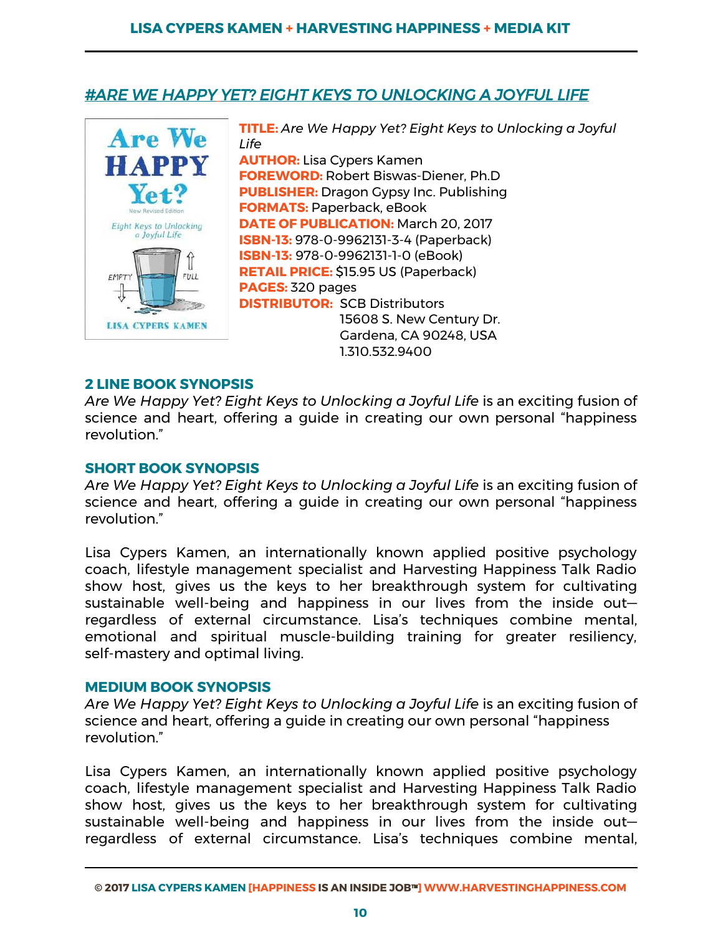# *#ARE WE HAPPY YET? EIGHT KEYS TO UNLOCKING A JOYFUL LIFE*



**TITLE:** *Are We Happy Yet? Eight Keys to Unlocking a Joyful Life* **AUTHOR:** Lisa Cypers Kamen **FOREWORD:** Robert Biswas-Diener, Ph.D **PUBLISHER:** Dragon Gypsy Inc. Publishing **FORMATS:** Paperback, eBook **DATE OF PUBLICATION:** March 20, 2017 **ISBN-13:** 978-0-9962131-3-4 (Paperback) **ISBN-13:** 978-0-9962131-1-0 (eBook) **RETAIL PRICE:** \$15.95 US (Paperback) **PAGES:** 320 pages **DISTRIBUTOR:** SCB Distributors 15608 S. New Century Dr. Gardena, CA 90248, USA 1.310.532.9400 

#### **2 LINE BOOK SYNOPSIS**

*Are We Happy Yet? Eight Keys to Unlocking a Joyful Life*  is an exciting fusion of science and heart, offering a guide in creating our own personal "happiness revolution."

#### **SHORT BOOK SYNOPSIS**

*Are We Happy Yet? Eight Keys to Unlocking a Joyful Life*  is an exciting fusion of science and heart, offering a guide in creating our own personal "happiness revolution."

Lisa Cypers Kamen, an internationally known applied positive psychology coach, lifestyle management specialist and Harvesting Happiness Talk Radio show host, gives us the keys to her breakthrough system for cultivating sustainable well-being and happiness in our lives from the inside out regardless of external circumstance. Lisa's techniques combine mental, emotional and spiritual muscle-building training for greater resiliency, self-mastery and optimal living.

#### **MEDIUM BOOK SYNOPSIS**

*Are We Happy Yet? Eight Keys to Unlocking a Joyful Life* is an exciting fusion of science and heart, offering a guide in creating our own personal "happiness revolution."

Lisa Cypers Kamen, an internationally known applied positive psychology coach, lifestyle management specialist and Harvesting Happiness Talk Radio show host, gives us the keys to her breakthrough system for cultivating sustainable well-being and happiness in our lives from the inside out regardless of external circumstance. Lisa's techniques combine mental,

**<sup>©</sup> 2017 LISA CYPERS KAMEN [HAPPINESS IS AN INSIDE JOB**™**] WWW.HARVESTINGHAPPINESS.COM**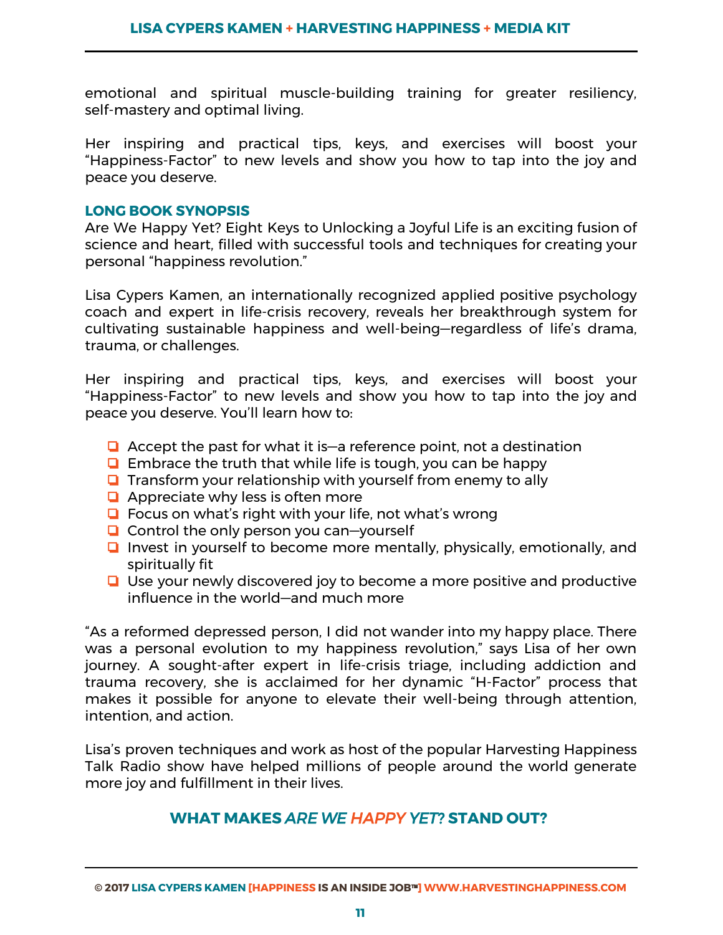emotional and spiritual muscle-building training for greater resiliency, self-mastery and optimal living.

Her inspiring and practical tips, keys, and exercises will boost your "Happiness-Factor" to new levels and show you how to tap into the joy and peace you deserve.

#### **LONG BOOK SYNOPSIS**

Are We Happy Yet? Eight Keys to Unlocking a Joyful Life is an exciting fusion of science and heart, filled with successful tools and techniques for creating your personal "happiness revolution."

Lisa Cypers Kamen, an internationally recognized applied positive psychology coach and expert in life-crisis recovery, reveals her breakthrough system for cultivating sustainable happiness and well-being—regardless of life's drama, trauma, or challenges.

Her inspiring and practical tips, keys, and exercises will boost your "Happiness-Factor" to new levels and show you how to tap into the joy and peace you deserve. You'll learn how to:

- ❏ Accept the past for what it is—a reference point, not a destination
- ❏ Embrace the truth that while life is tough, you can be happy
- ❏ Transform your relationship with yourself from enemy to ally
- ❏ Appreciate why less is often more
- ❏ Focus on what's right with your life, not what's wrong
- ❏ Control the only person you can—yourself
- ❏ Invest in yourself to become more mentally, physically, emotionally, and spiritually fit
- ❏ Use your newly discovered joy to become a more positive and productive influence in the world—and much more

"As a reformed depressed person, I did not wander into my happy place. There was a personal evolution to my happiness revolution," says Lisa of her own journey. A sought-after expert in life-crisis triage, including addiction and trauma recovery, she is acclaimed for her dynamic "H-Factor" process that makes it possible for anyone to elevate their well-being through attention, intention, and action.

Lisa's proven techniques and work as host of the popular Harvesting Happiness Talk Radio show have helped millions of people around the world generate more joy and fulfillment in their lives.

## **WHAT MAKES** *ARE WE HAPPY YET?* **STAND OUT?**

**<sup>©</sup> 2017 LISA CYPERS KAMEN [HAPPINESS IS AN INSIDE JOB**™**] WWW.HARVESTINGHAPPINESS.COM**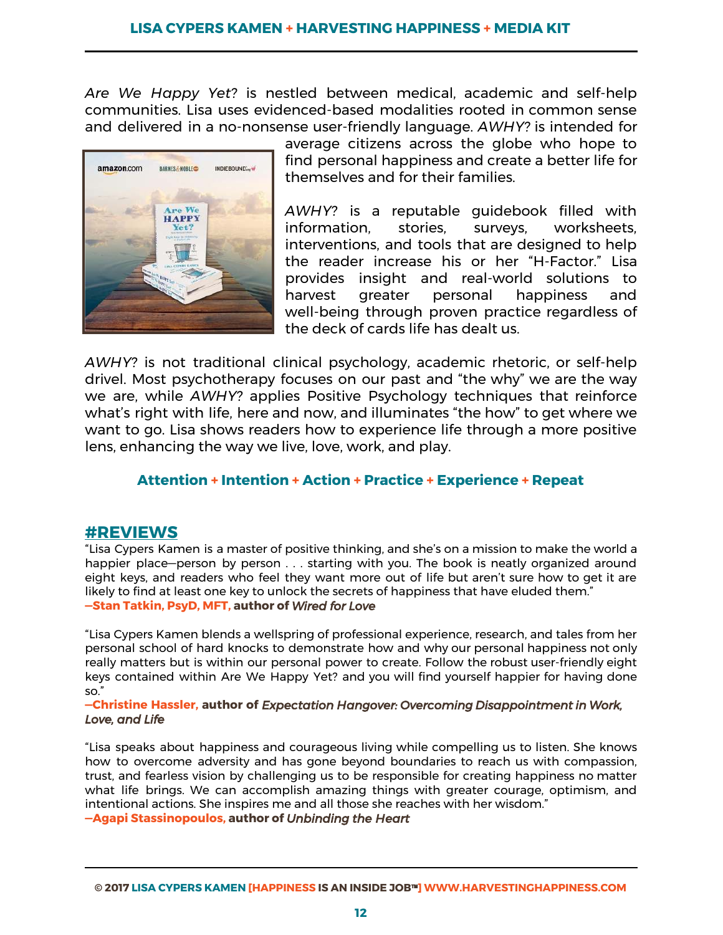Are We Happy Yet? is nestled between medical, academic and self-help communities. Lisa uses evidenced-based modalities rooted in common sense and delivered in a no-nonsense user-friendly language. *AWHY?* is intended for



average citizens across the globe who hope to find personal happiness and create a better life for themselves and for their families.

*AWHY?* is a reputable guidebook filled with information, stories, surveys, worksheets, interventions, and tools that are designed to help the reader increase his or her "H-Factor." Lisa provides insight and real-world solutions to harvest greater personal happiness and well-being through proven practice regardless of the deck of cards life has dealt us.

*AWHY?* is not traditional clinical psychology, academic rhetoric, or self-help drivel. Most psychotherapy focuses on our past and "the why" we are the way we are, while *AWHY?* applies Positive Psychology techniques that reinforce what's right with life, here and now, and illuminates "the how" to get where we want to go. Lisa shows readers how to experience life through a more positive lens, enhancing the way we live, love, work, and play.

#### **Attention + Intention + Action + Practice + Experience + Repeat**

#### **#REVIEWS**

"Lisa Cypers Kamen is a master of positive thinking, and she's on a mission to make the world a happier place—person by person . . . starting with you. The book is neatly organized around eight keys, and readers who feel they want more out of life but aren't sure how to get it are likely to find at least one key to unlock the secrets of happiness that have eluded them." **—Stan Tatkin, PsyD, MFT, author of** *Wired for Love* 

"Lisa Cypers Kamen blends a wellspring of professional experience, research, and tales from her personal school of hard knocks to demonstrate how and why our personal happiness not only really matters but is within our personal power to create. Follow the robust user-friendly eight keys contained within Are We Happy Yet? and you will find yourself happier for having done so."

#### **—Christine Hassler, author of** *Expectation Hangover: Overcoming Disappointment in Work, Love, and Life*

"Lisa speaks about happiness and courageous living while compelling us to listen. She knows how to overcome adversity and has gone beyond boundaries to reach us with compassion, trust, and fearless vision by challenging us to be responsible for creating happiness no matter what life brings. We can accomplish amazing things with greater courage, optimism, and intentional actions. She inspires me and all those she reaches with her wisdom."

**—Agapi Stassinopoulos, author of** *Unbinding the Heart*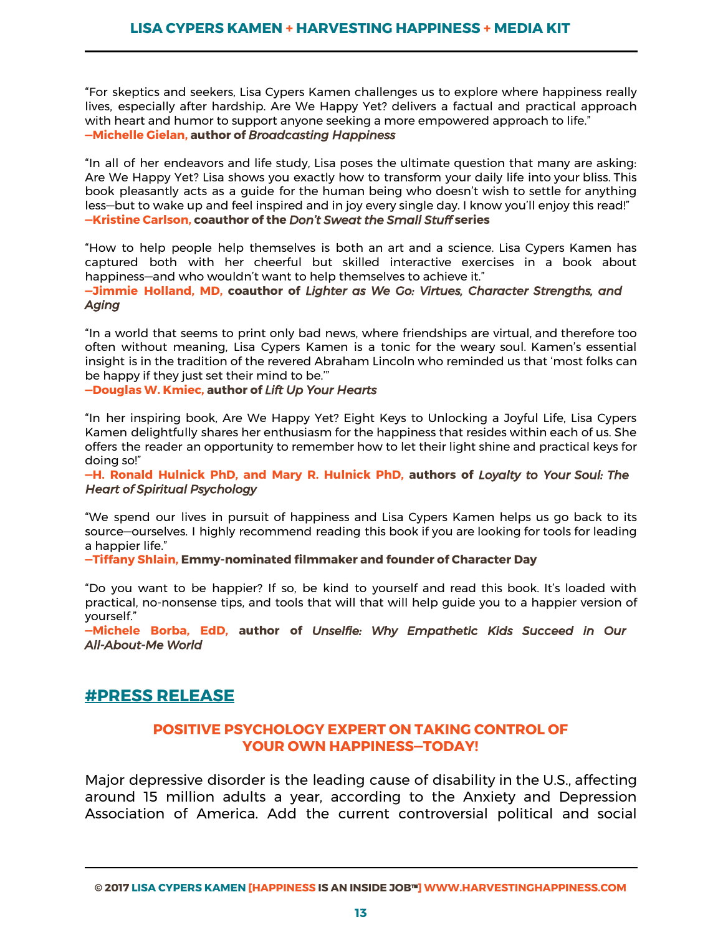"For skeptics and seekers, Lisa Cypers Kamen challenges us to explore where happiness really lives, especially after hardship. Are We Happy Yet? delivers a factual and practical approach with heart and humor to support anyone seeking a more empowered approach to life." **—Michelle Gielan, author of** *Broadcasting Happiness* 

"In all of her endeavors and life study, Lisa poses the ultimate question that many are asking: Are We Happy Yet? Lisa shows you exactly how to transform your daily life into your bliss. This book pleasantly acts as a guide for the human being who doesn't wish to settle for anything less—but to wake up and feel inspired and in joy every single day. I know you'll enjoy this read!" **—Kristine Carlson, coauthor of the** *Don't Sweat the Small Stuff* **series** 

"How to help people help themselves is both an art and a science. Lisa Cypers Kamen has captured both with her cheerful but skilled interactive exercises in a book about happiness—and who wouldn't want to help themselves to achieve it."

**—Jimmie Holland, MD, coauthor of**  *Lighter as We Go: Virtues, Character Strengths, and Aging* 

"In a world that seems to print only bad news, where friendships are virtual, and therefore too often without meaning, Lisa Cypers Kamen is a tonic for the weary soul. Kamen's essential insight is in the tradition of the revered Abraham Lincoln who reminded us that 'most folks can be happy if they just set their mind to be.'"

**—Douglas W. Kmiec, author of** *Lift Up Your Hearts* 

"In her inspiring book, Are We Happy Yet? Eight Keys to Unlocking a Joyful Life, Lisa Cypers Kamen delightfully shares her enthusiasm for the happiness that resides within each of us. She offers the reader an opportunity to remember how to let their light shine and practical keys for doing so!"

**—H. Ronald Hulnick PhD, and Mary R. Hulnick PhD, authors of**  *Loyalty to Your Soul: The Heart of Spiritual Psychology* 

"We spend our lives in pursuit of happiness and Lisa Cypers Kamen helps us go back to its source—ourselves. I highly recommend reading this book if you are looking for tools for leading a happier life."

**—Tiffany Shlain, Emmy-nominated filmmaker and founder of Character Day** 

"Do you want to be happier? If so, be kind to yourself and read this book. It's loaded with practical, no-nonsense tips, and tools that will that will help guide you to a happier version of yourself."

**—Michele Borba, EdD, author of**  *Unselfie: Why Empathetic Kids Succeed in Our All-About-Me World*

# **#PRESS RELEASE**

#### **POSITIVE PSYCHOLOGY EXPERT ON TAKING CONTROL OF YOUR OWN HAPPINESS—TODAY!**

Major depressive disorder is the leading cause of disability in the U.S., affecting around 15 million adults a year, according to the Anxiety and Depression Association of America. Add the current controversial political and social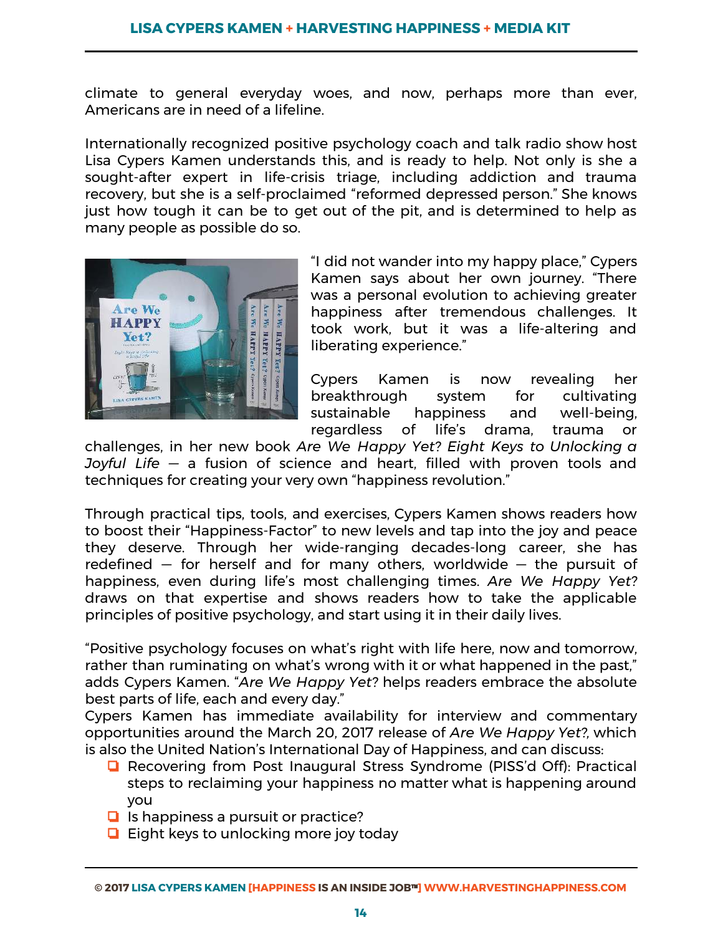climate to general everyday woes, and now, perhaps more than ever, Americans are in need of a lifeline.

Internationally recognized positive psychology coach and talk radio show host Lisa Cypers Kamen understands this, and is ready to help. Not only is she a sought-after expert in life-crisis triage, including addiction and trauma recovery, but she is a self-proclaimed "reformed depressed person." She knows just how tough it can be to get out of the pit, and is determined to help as many people as possible do so.



"I did not wander into my happy place," Cypers Kamen says about her own journey. "There was a personal evolution to achieving greater happiness after tremendous challenges. It took work, but it was a life-altering and liberating experience."

Cypers Kamen is now revealing her breakthrough system for cultivating sustainable happiness and well-being, regardless of life's drama, trauma or

challenges, in her new book *Are We Happy Yet? Eight Keys to Unlocking a Joyful Life –* a fusion of science and heart, filled with proven tools and techniques for creating your very own "happiness revolution."

Through practical tips, tools, and exercises, Cypers Kamen shows readers how to boost their "Happiness-Factor" to new levels and tap into the joy and peace they deserve. Through her wide-ranging decades-long career, she has redefined  $-$  for herself and for many others, worldwide  $-$  the pursuit of happiness, even during life's most challenging times. *Are We Happy Yet?*  draws on that expertise and shows readers how to take the applicable principles of positive psychology, and start using it in their daily lives.

"Positive psychology focuses on what's right with life here, now and tomorrow, rather than ruminating on what's wrong with it or what happened in the past," adds Cypers Kamen. "Are We Happy Yet? helps readers embrace the absolute best parts of life, each and every day."

Cypers Kamen has immediate availability for interview and commentary opportunities around the March 20, 2017 release of *Are We Happy Yet?,*  which is also the United Nation's International Day of Happiness, and can discuss:

- ❏ Recovering from Post Inaugural Stress Syndrome (PISS'd Off): Practical steps to reclaiming your happiness no matter what is happening around you
- ❏ Is happiness a pursuit or practice?
- ❏ Eight keys to unlocking more joy today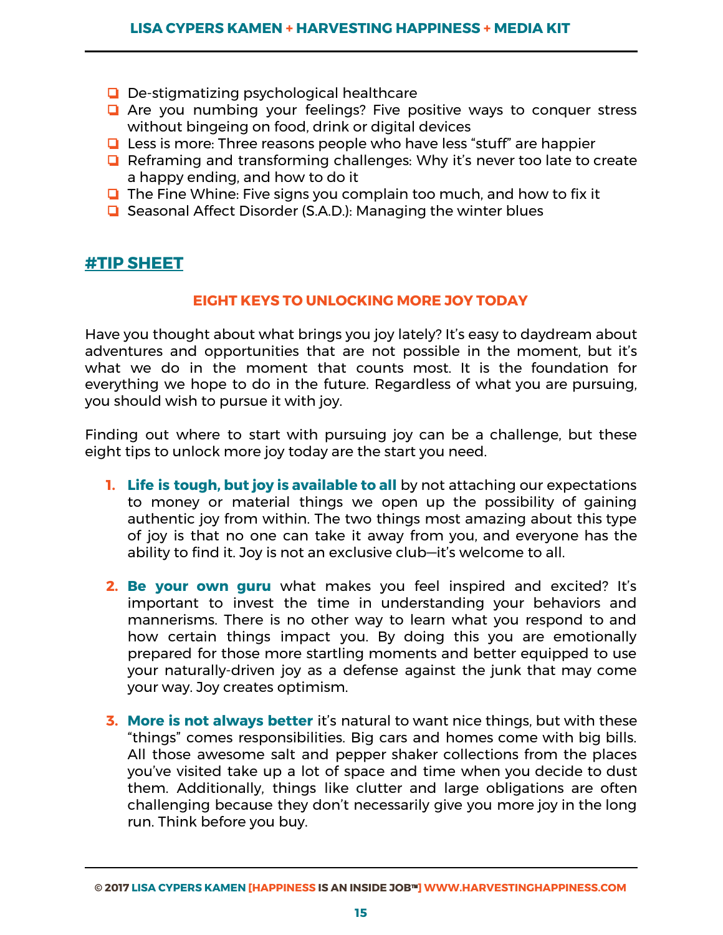- ❏ De-stigmatizing psychological healthcare
- ❏ Are you numbing your feelings? Five positive ways to conquer stress without bingeing on food, drink or digital devices
- ❏ Less is more: Three reasons people who have less "stuff" are happier
- ❏ Reframing and transforming challenges: Why it's never too late to create a happy ending, and how to do it
- ❏ The Fine Whine: Five signs you complain too much, and how to fix it
- ❏ Seasonal Affect Disorder (S.A.D.): Managing the winter blues

# **#TIP SHEET**

#### **EIGHT KEYS TO UNLOCKING MORE JOY TODAY**

Have you thought about what brings you joy lately? It's easy to daydream about adventures and opportunities that are not possible in the moment, but it's what we do in the moment that counts most. It is the foundation for everything we hope to do in the future. Regardless of what you are pursuing, you should wish to pursue it with joy.

Finding out where to start with pursuing joy can be a challenge, but these eight tips to unlock more joy today are the start you need.

- **1. Life is tough, but joy is available to all** by not attaching our expectations to money or material things we open up the possibility of gaining authentic joy from within. The two things most amazing about this type of joy is that no one can take it away from you, and everyone has the ability to find it. Joy is not an exclusive club—it's welcome to all.
- **2. Be your own guru** what makes you feel inspired and excited? It's important to invest the time in understanding your behaviors and mannerisms. There is no other way to learn what you respond to and how certain things impact you. By doing this you are emotionally prepared for those more startling moments and better equipped to use your naturally-driven joy as a defense against the junk that may come your way. Joy creates optimism.
- **3. More is not always better** it's natural to want nice things, but with these "things" comes responsibilities. Big cars and homes come with big bills. All those awesome salt and pepper shaker collections from the places you've visited take up a lot of space and time when you decide to dust them. Additionally, things like clutter and large obligations are often challenging because they don't necessarily give you more joy in the long run. Think before you buy.

**<sup>©</sup> 2017 LISA CYPERS KAMEN [HAPPINESS IS AN INSIDE JOB**™**] WWW.HARVESTINGHAPPINESS.COM**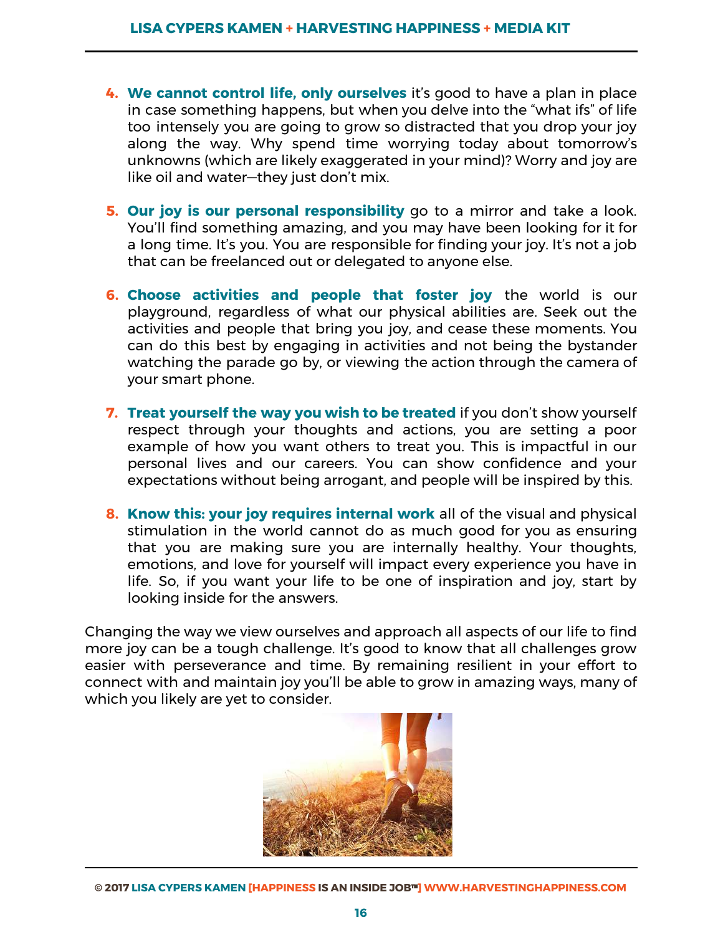- **4. We cannot control life, only ourselves**  it's good to have a plan in place in case something happens, but when you delve into the "what ifs" of life too intensely you are going to grow so distracted that you drop your joy along the way. Why spend time worrying today about tomorrow's unknowns (which are likely exaggerated in your mind)? Worry and joy are like oil and water—they just don't mix.
- **5. Our joy is our personal responsibility** go to a mirror and take a look. You'll find something amazing, and you may have been looking for it for a long time. It's you. You are responsible for finding your joy. It's not a job that can be freelanced out or delegated to anyone else.
- **6. Choose activities and people that foster joy** the world is our playground, regardless of what our physical abilities are. Seek out the activities and people that bring you joy, and cease these moments. You can do this best by engaging in activities and not being the bystander watching the parade go by, or viewing the action through the camera of your smart phone.
- **7. Treat yourself the way you wish to be treated**  if you don't show yourself respect through your thoughts and actions, you are setting a poor example of how you want others to treat you. This is impactful in our personal lives and our careers. You can show confidence and your expectations without being arrogant, and people will be inspired by this.
- **8. Know this: your joy requires internal work**  all of the visual and physical stimulation in the world cannot do as much good for you as ensuring that you are making sure you are internally healthy. Your thoughts, emotions, and love for yourself will impact every experience you have in life. So, if you want your life to be one of inspiration and joy, start by looking inside for the answers.

Changing the way we view ourselves and approach all aspects of our life to find more joy can be a tough challenge. It's good to know that all challenges grow easier with perseverance and time. By remaining resilient in your effort to connect with and maintain joy you'll be able to grow in amazing ways, many of which you likely are yet to consider.

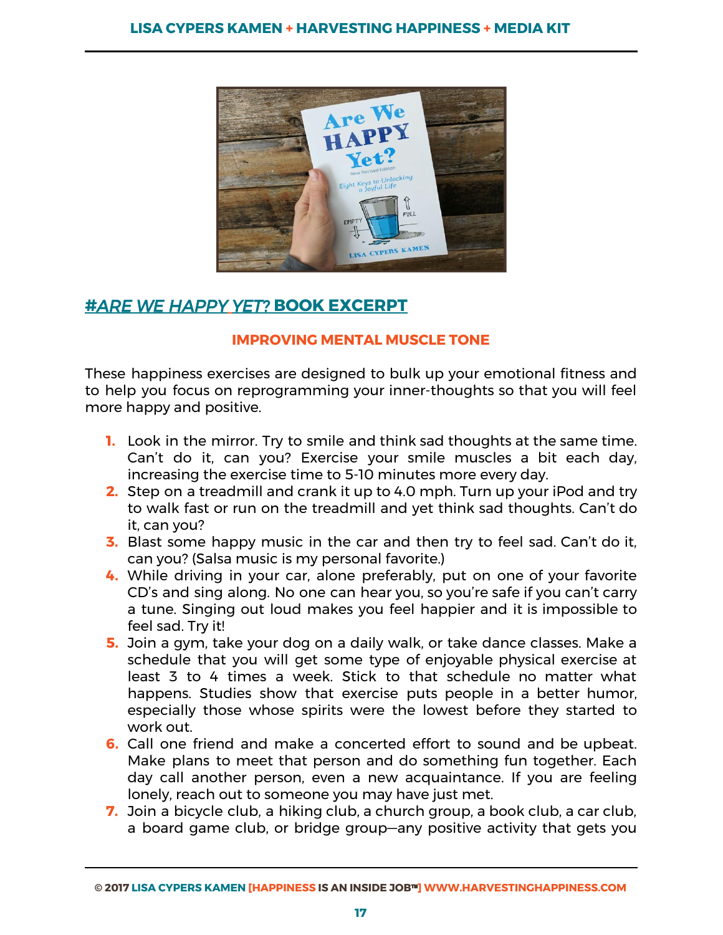

# **#***A RE WE HAPPY YET?* **BOOK EXCERPT**

# **IMPROVING MENTAL MUSCLE TONE**

These happiness exercises are designed to bulk up your emotional fitness and to help you focus on reprogramming your inner-thoughts so that you will feel more happy and positive.

- **1.** Look in the mirror. Try to smile and think sad thoughts at the same time. Can't do it, can you? Exercise your smile muscles a bit each day, increasing the exercise time to 5-10 minutes more every day.
- **2.** Step on a treadmill and crank it up to 4.0 mph. Turn up your iPod and try to walk fast or run on the treadmill and yet think sad thoughts. Can't do it, can you?
- **3.** Blast some happy music in the car and then try to feel sad. Can't do it, can you? (Salsa music is my personal favorite.)
- **4.** While driving in your car, alone preferably, put on one of your favorite CD's and sing along. No one can hear you, so you're safe if you can't carry a tune. Singing out loud makes you feel happier and it is impossible to feel sad. Try it!
- **5.** Join a gym, take your dog on a daily walk, or take dance classes. Make a schedule that you will get some type of enjoyable physical exercise at least 3 to 4 times a week. Stick to that schedule no matter what happens. Studies show that exercise puts people in a better humor, especially those whose spirits were the lowest before they started to work out.
- **6.** Call one friend and make a concerted effort to sound and be upbeat. Make plans to meet that person and do something fun together. Each day call another person, even a new acquaintance. If you are feeling lonely, reach out to someone you may have just met.
- **7.** Join a bicycle club, a hiking club, a church group, a book club, a car club, a board game club, or bridge group—any positive activity that gets you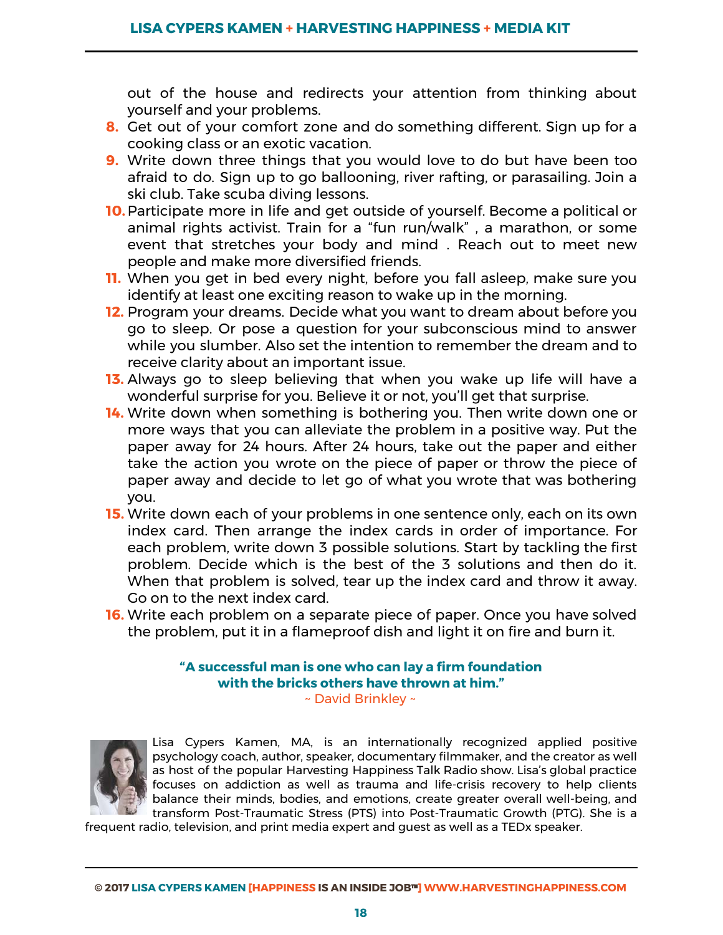out of the house and redirects your attention from thinking about yourself and your problems.

- **8.** Get out of your comfort zone and do something different. Sign up for a cooking class or an exotic vacation.
- **9.** Write down three things that you would love to do but have been too afraid to do. Sign up to go ballooning, river rafting, or parasailing. Join a ski club. Take scuba diving lessons.
- **10.**Participate more in life and get outside of yourself. Become a political or animal rights activist. Train for a "fun run/walk" , a marathon, or some event that stretches your body and mind . Reach out to meet new people and make more diversified friends.
- **11.** When you get in bed every night, before you fall asleep, make sure you identify at least one exciting reason to wake up in the morning.
- **12.** Program your dreams. Decide what you want to dream about before you go to sleep. Or pose a question for your subconscious mind to answer while you slumber. Also set the intention to remember the dream and to receive clarity about an important issue.
- **13.** Always go to sleep believing that when you wake up life will have a wonderful surprise for you. Believe it or not, you'll get that surprise.
- **14.** Write down when something is bothering you. Then write down one or more ways that you can alleviate the problem in a positive way. Put the paper away for 24 hours. After 24 hours, take out the paper and either take the action you wrote on the piece of paper or throw the piece of paper away and decide to let go of what you wrote that was bothering you.
- **15.** Write down each of your problems in one sentence only, each on its own index card. Then arrange the index cards in order of importance. For each problem, write down 3 possible solutions. Start by tackling the first problem. Decide which is the best of the 3 solutions and then do it. When that problem is solved, tear up the index card and throw it away. Go on to the next index card.
- **16.** Write each problem on a separate piece of paper. Once you have solved the problem, put it in a flameproof dish and light it on fire and burn it.

# **"A successful man is one who can lay a firm foundation with the bricks others have thrown at him."**





Lisa Cypers Kamen, MA, is an internationally recognized applied positive psychology coach, author, speaker, documentary filmmaker, and the creator as well as host of the popular Harvesting Happiness Talk Radio show. Lisa's global practice focuses on addiction as well as trauma and life-crisis recovery to help clients balance their minds, bodies, and emotions, create greater overall well-being, and transform Post-Traumatic Stress (PTS) into Post-Traumatic Growth (PTG). She is a

frequent radio, television, and print media expert and guest as well as a TEDx speaker.